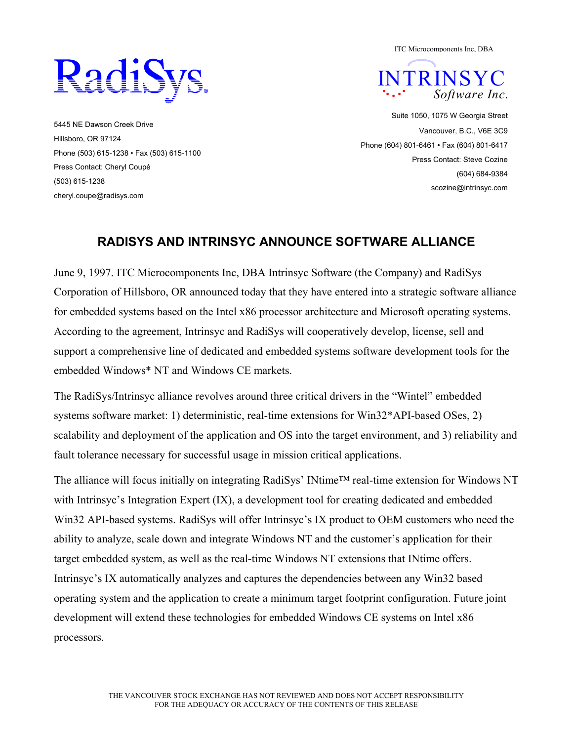

5445 NE Dawson Creek Drive Hillsboro, OR 97124 Phone (503) 615-1238 • Fax (503) 615-1100 Press Contact: Cheryl Coupé (503) 615-1238 cheryl.coupe@radisys.com

ITC Microcomponents Inc, DBA



Suite 1050, 1075 W Georgia Street Vancouver, B.C., V6E 3C9 Phone (604) 801-6461 • Fax (604) 801-6417 Press Contact: Steve Cozine (604) 684-9384 scozine@intrinsyc.com

## **RADISYS AND INTRINSYC ANNOUNCE SOFTWARE ALLIANCE**

June 9, 1997. ITC Microcomponents Inc, DBA Intrinsyc Software (the Company) and RadiSys Corporation of Hillsboro, OR announced today that they have entered into a strategic software alliance for embedded systems based on the Intel x86 processor architecture and Microsoft operating systems. According to the agreement, Intrinsyc and RadiSys will cooperatively develop, license, sell and support a comprehensive line of dedicated and embedded systems software development tools for the embedded Windows\* NT and Windows CE markets.

The RadiSys/Intrinsyc alliance revolves around three critical drivers in the "Wintel" embedded systems software market: 1) deterministic, real-time extensions for Win32\*API-based OSes, 2) scalability and deployment of the application and OS into the target environment, and 3) reliability and fault tolerance necessary for successful usage in mission critical applications.

The alliance will focus initially on integrating RadiSys' INtime™ real-time extension for Windows NT with Intrinsyc's Integration Expert (IX), a development tool for creating dedicated and embedded Win32 API-based systems. RadiSys will offer Intrinsyc's IX product to OEM customers who need the ability to analyze, scale down and integrate Windows NT and the customer's application for their target embedded system, as well as the real-time Windows NT extensions that INtime offers. Intrinsyc's IX automatically analyzes and captures the dependencies between any Win32 based operating system and the application to create a minimum target footprint configuration. Future joint development will extend these technologies for embedded Windows CE systems on Intel x86 processors.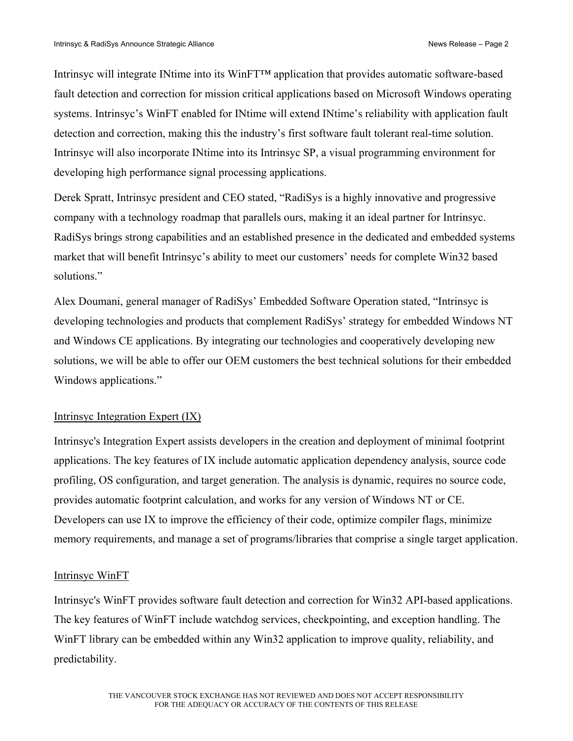Intrinsyc will integrate INtime into its WinFT™ application that provides automatic software-based fault detection and correction for mission critical applications based on Microsoft Windows operating systems. Intrinsyc's WinFT enabled for INtime will extend INtime's reliability with application fault detection and correction, making this the industry's first software fault tolerant real-time solution. Intrinsyc will also incorporate INtime into its Intrinsyc SP, a visual programming environment for developing high performance signal processing applications.

Derek Spratt, Intrinsyc president and CEO stated, "RadiSys is a highly innovative and progressive company with a technology roadmap that parallels ours, making it an ideal partner for Intrinsyc. RadiSys brings strong capabilities and an established presence in the dedicated and embedded systems market that will benefit Intrinsyc's ability to meet our customers' needs for complete Win32 based solutions."

Alex Doumani, general manager of RadiSys' Embedded Software Operation stated, "Intrinsyc is developing technologies and products that complement RadiSys' strategy for embedded Windows NT and Windows CE applications. By integrating our technologies and cooperatively developing new solutions, we will be able to offer our OEM customers the best technical solutions for their embedded Windows applications."

## Intrinsyc Integration Expert (IX)

Intrinsyc's Integration Expert assists developers in the creation and deployment of minimal footprint applications. The key features of IX include automatic application dependency analysis, source code profiling, OS configuration, and target generation. The analysis is dynamic, requires no source code, provides automatic footprint calculation, and works for any version of Windows NT or CE. Developers can use IX to improve the efficiency of their code, optimize compiler flags, minimize memory requirements, and manage a set of programs/libraries that comprise a single target application.

## Intrinsyc WinFT

Intrinsyc's WinFT provides software fault detection and correction for Win32 API-based applications. The key features of WinFT include watchdog services, checkpointing, and exception handling. The WinFT library can be embedded within any Win32 application to improve quality, reliability, and predictability.